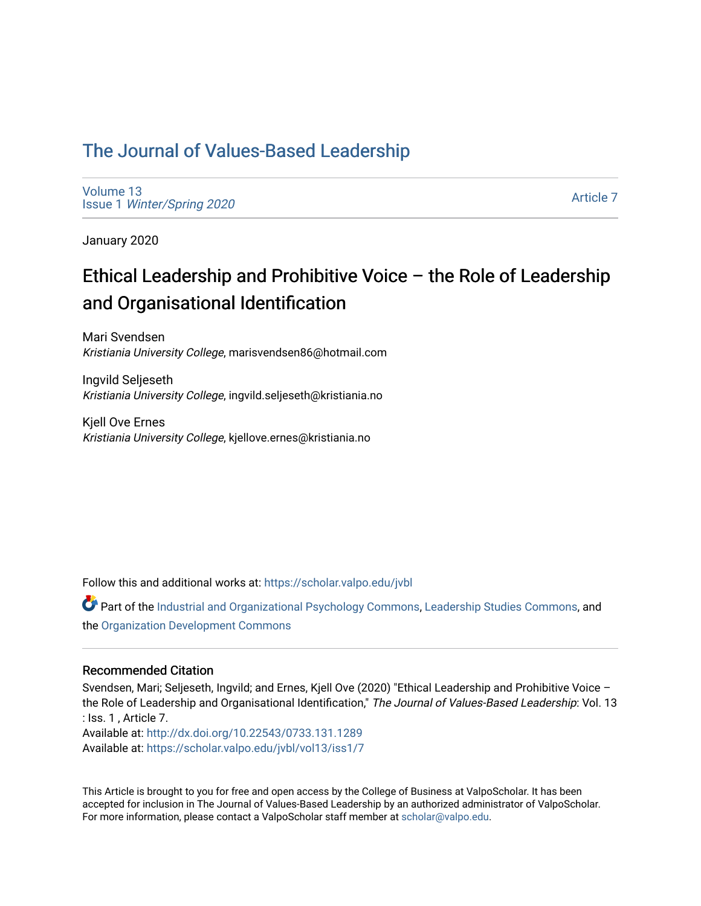## [The Journal of Values-Based Leadership](https://scholar.valpo.edu/jvbl)

[Volume 13](https://scholar.valpo.edu/jvbl/vol13) Issue 1 [Winter/Spring 2020](https://scholar.valpo.edu/jvbl/vol13/iss1) 

[Article 7](https://scholar.valpo.edu/jvbl/vol13/iss1/7) 

January 2020

# Ethical Leadership and Prohibitive Voice – the Role of Leadership and Organisational Identification

Mari Svendsen Kristiania University College, marisvendsen86@hotmail.com

Ingvild Seljeseth Kristiania University College, ingvild.seljeseth@kristiania.no

Kjell Ove Ernes Kristiania University College, kjellove.ernes@kristiania.no

Follow this and additional works at: [https://scholar.valpo.edu/jvbl](https://scholar.valpo.edu/jvbl?utm_source=scholar.valpo.edu%2Fjvbl%2Fvol13%2Fiss1%2F7&utm_medium=PDF&utm_campaign=PDFCoverPages) 

Part of the [Industrial and Organizational Psychology Commons,](http://network.bepress.com/hgg/discipline/412?utm_source=scholar.valpo.edu%2Fjvbl%2Fvol13%2Fiss1%2F7&utm_medium=PDF&utm_campaign=PDFCoverPages) [Leadership Studies Commons,](http://network.bepress.com/hgg/discipline/1250?utm_source=scholar.valpo.edu%2Fjvbl%2Fvol13%2Fiss1%2F7&utm_medium=PDF&utm_campaign=PDFCoverPages) and the [Organization Development Commons](http://network.bepress.com/hgg/discipline/1242?utm_source=scholar.valpo.edu%2Fjvbl%2Fvol13%2Fiss1%2F7&utm_medium=PDF&utm_campaign=PDFCoverPages) 

#### Recommended Citation

Svendsen, Mari; Seljeseth, Ingvild; and Ernes, Kjell Ove (2020) "Ethical Leadership and Prohibitive Voice – the Role of Leadership and Organisational Identification," The Journal of Values-Based Leadership: Vol. 13 : Iss. 1 , Article 7. Available at:<http://dx.doi.org/10.22543/0733.131.1289> Available at: [https://scholar.valpo.edu/jvbl/vol13/iss1/7](https://scholar.valpo.edu/jvbl/vol13/iss1/7?utm_source=scholar.valpo.edu%2Fjvbl%2Fvol13%2Fiss1%2F7&utm_medium=PDF&utm_campaign=PDFCoverPages)

This Article is brought to you for free and open access by the College of Business at ValpoScholar. It has been accepted for inclusion in The Journal of Values-Based Leadership by an authorized administrator of ValpoScholar. For more information, please contact a ValpoScholar staff member at [scholar@valpo.edu](mailto:scholar@valpo.edu).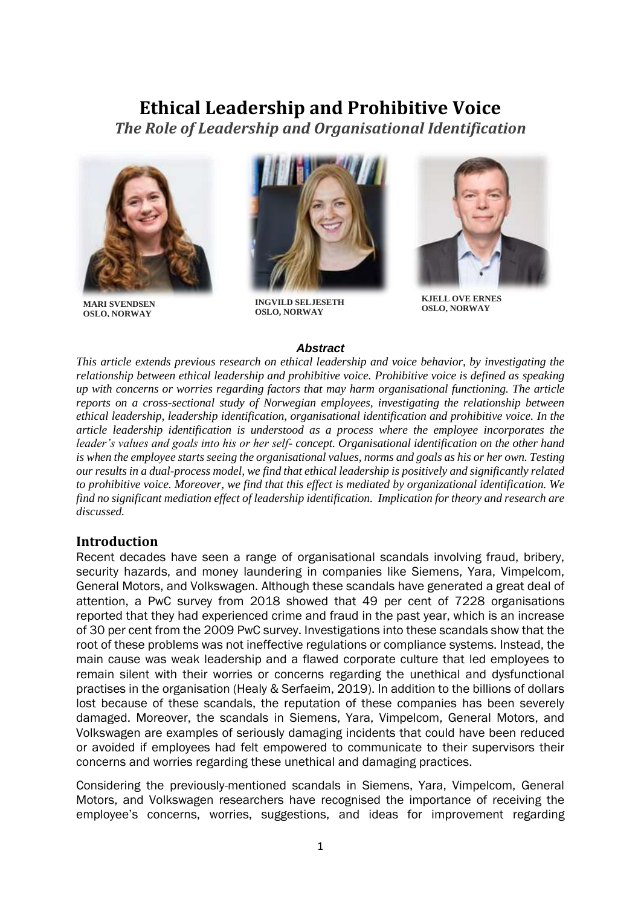# **Ethical Leadership and Prohibitive Voice**

*The Role of Leadership and Organisational Identification*



**MARI SVENDSEN OSLO, NORWAY**



**INGVILD SELJESETH OSLO, NORWAY**



**KJELL OVE ERNES OSLO, NORWAY**

#### *Abstract*

*This article extends previous research on ethical leadership and voice behavior, by investigating the relationship between ethical leadership and prohibitive voice. Prohibitive voice is defined as speaking up with concerns or worries regarding factors that may harm organisational functioning. The article reports on a cross-sectional study of Norwegian employees, investigating the relationship between ethical leadership, leadership identification, organisational identification and prohibitive voice. In the article leadership identification is understood as a process where the employee incorporates the leader's values and goals into his or her self- concept. Organisational identification on the other hand is when the employee starts seeing the organisational values, norms and goals as his or her own. Testing our results in a dual-process model, we find that ethical leadership is positively and significantly related to prohibitive voice. Moreover, we find that this effect is mediated by organizational identification. We find no significant mediation effect of leadership identification. Implication for theory and research are discussed.* 

#### **Introduction**

Recent decades have seen a range of organisational scandals involving fraud, bribery, security hazards, and money laundering in companies like Siemens, Yara, Vimpelcom, General Motors, and Volkswagen. Although these scandals have generated a great deal of attention, a PwC survey from 2018 showed that 49 per cent of 7228 organisations reported that they had experienced crime and fraud in the past year, which is an increase of 30 per cent from the 2009 PwC survey. Investigations into these scandals show that the root of these problems was not ineffective regulations or compliance systems. Instead, the main cause was weak leadership and a flawed corporate culture that led employees to remain silent with their worries or concerns regarding the unethical and dysfunctional practises in the organisation (Healy & Serfaeim, 2019). In addition to the billions of dollars lost because of these scandals, the reputation of these companies has been severely damaged. Moreover, the scandals in Siemens, Yara, Vimpelcom, General Motors, and Volkswagen are examples of seriously damaging incidents that could have been reduced or avoided if employees had felt empowered to communicate to their supervisors their concerns and worries regarding these unethical and damaging practices.

Considering the previously-mentioned scandals in Siemens, Yara, Vimpelcom, General Motors, and Volkswagen researchers have recognised the importance of receiving the employee's concerns, worries, suggestions, and ideas for improvement regarding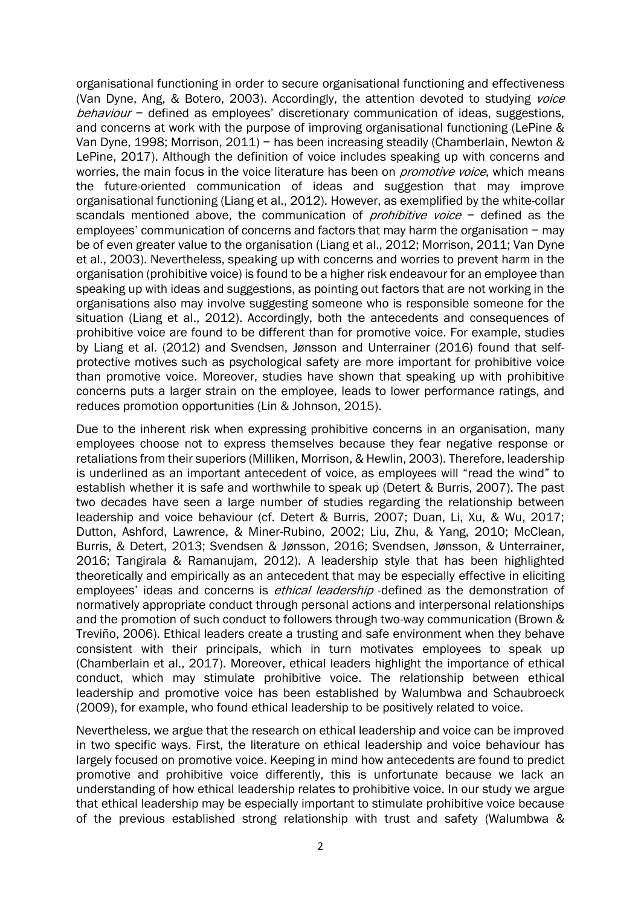organisational functioning in order to secure organisational functioning and effectiveness (Van Dyne, Ang, & Botero, 2003). Accordingly, the attention devoted to studying *voice* behaviour - defined as employees' discretionary communication of ideas, suggestions, and concerns at work with the purpose of improving organisational functioning (LePine & Van Dyne, 1998; Morrison, 2011) − has been increasing steadily (Chamberlain, Newton & LePine, 2017). Although the definition of voice includes speaking up with concerns and worries, the main focus in the voice literature has been on *promotive voice*, which means the future-oriented communication of ideas and suggestion that may improve organisational functioning (Liang et al., 2012). However, as exemplified by the white-collar scandals mentioned above, the communication of *prohibitive voice* − defined as the employees' communication of concerns and factors that may harm the organisation − may be of even greater value to the organisation (Liang et al., 2012; Morrison, 2011; Van Dyne et al., 2003). Nevertheless, speaking up with concerns and worries to prevent harm in the organisation (prohibitive voice) is found to be a higher risk endeavour for an employee than speaking up with ideas and suggestions, as pointing out factors that are not working in the organisations also may involve suggesting someone who is responsible someone for the situation (Liang et al., 2012). Accordingly, both the antecedents and consequences of prohibitive voice are found to be different than for promotive voice. For example, studies by Liang et al. (2012) and Svendsen, Jønsson and Unterrainer (2016) found that selfprotective motives such as psychological safety are more important for prohibitive voice than promotive voice. Moreover, studies have shown that speaking up with prohibitive concerns puts a larger strain on the employee, leads to lower performance ratings, and reduces promotion opportunities (Lin & Johnson, 2015).

Due to the inherent risk when expressing prohibitive concerns in an organisation, many employees choose not to express themselves because they fear negative response or retaliations from their superiors (Milliken, Morrison, & Hewlin, 2003). Therefore, leadership is underlined as an important antecedent of voice, as employees will "read the wind" to establish whether it is safe and worthwhile to speak up (Detert & Burris, 2007). The past two decades have seen a large number of studies regarding the relationship between leadership and voice behaviour (cf. Detert & Burris, 2007; Duan, Li, Xu, & Wu, 2017; Dutton, Ashford, Lawrence, & Miner-Rubino, 2002; Liu, Zhu, & Yang, 2010; McClean, Burris, & Detert, 2013; Svendsen & Jønsson, 2016; Svendsen, Jønsson, & Unterrainer, 2016; Tangirala & Ramanujam, 2012). A leadership style that has been highlighted theoretically and empirically as an antecedent that may be especially effective in eliciting employees' ideas and concerns is *ethical leadership* -defined as the demonstration of normatively appropriate conduct through personal actions and interpersonal relationships and the promotion of such conduct to followers through two-way communication (Brown & Treviño, 2006). Ethical leaders create a trusting and safe environment when they behave consistent with their principals, which in turn motivates employees to speak up (Chamberlain et al., 2017). Moreover, ethical leaders highlight the importance of ethical conduct, which may stimulate prohibitive voice. The relationship between ethical leadership and promotive voice has been established by Walumbwa and Schaubroeck (2009), for example, who found ethical leadership to be positively related to voice.

Nevertheless, we argue that the research on ethical leadership and voice can be improved in two specific ways. First, the literature on ethical leadership and voice behaviour has largely focused on promotive voice. Keeping in mind how antecedents are found to predict promotive and prohibitive voice differently, this is unfortunate because we lack an understanding of how ethical leadership relates to prohibitive voice. In our study we argue that ethical leadership may be especially important to stimulate prohibitive voice because of the previous established strong relationship with trust and safety (Walumbwa &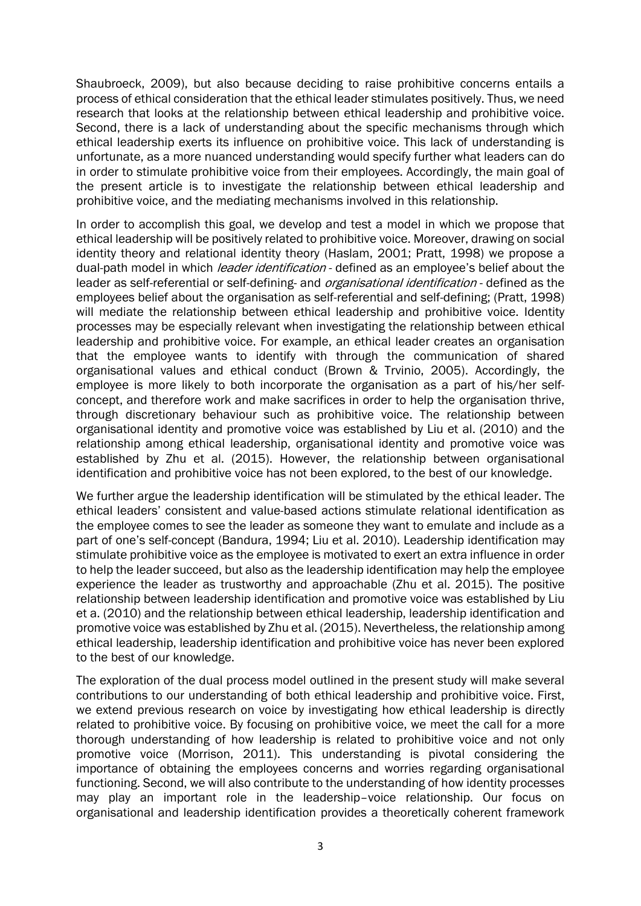Shaubroeck, 2009), but also because deciding to raise prohibitive concerns entails a process of ethical consideration that the ethical leader stimulates positively. Thus, we need research that looks at the relationship between ethical leadership and prohibitive voice. Second, there is a lack of understanding about the specific mechanisms through which ethical leadership exerts its influence on prohibitive voice. This lack of understanding is unfortunate, as a more nuanced understanding would specify further what leaders can do in order to stimulate prohibitive voice from their employees. Accordingly, the main goal of the present article is to investigate the relationship between ethical leadership and prohibitive voice, and the mediating mechanisms involved in this relationship.

In order to accomplish this goal, we develop and test a model in which we propose that ethical leadership will be positively related to prohibitive voice. Moreover, drawing on social identity theory and relational identity theory (Haslam, 2001; Pratt, 1998) we propose a dual-path model in which *leader identification* - defined as an employee's belief about the leader as self-referential or self-defining- and *organisational identification* - defined as the employees belief about the organisation as self-referential and self-defining; (Pratt, 1998) will mediate the relationship between ethical leadership and prohibitive voice. Identity processes may be especially relevant when investigating the relationship between ethical leadership and prohibitive voice. For example, an ethical leader creates an organisation that the employee wants to identify with through the communication of shared organisational values and ethical conduct (Brown & Trvinio, 2005). Accordingly, the employee is more likely to both incorporate the organisation as a part of his/her selfconcept, and therefore work and make sacrifices in order to help the organisation thrive, through discretionary behaviour such as prohibitive voice. The relationship between organisational identity and promotive voice was established by Liu et al. (2010) and the relationship among ethical leadership, organisational identity and promotive voice was established by Zhu et al. (2015). However, the relationship between organisational identification and prohibitive voice has not been explored, to the best of our knowledge.

We further argue the leadership identification will be stimulated by the ethical leader. The ethical leaders' consistent and value-based actions stimulate relational identification as the employee comes to see the leader as someone they want to emulate and include as a part of one's self-concept (Bandura, 1994; Liu et al. 2010). Leadership identification may stimulate prohibitive voice as the employee is motivated to exert an extra influence in order to help the leader succeed, but also as the leadership identification may help the employee experience the leader as trustworthy and approachable (Zhu et al. 2015). The positive relationship between leadership identification and promotive voice was established by Liu et a. (2010) and the relationship between ethical leadership, leadership identification and promotive voice was established by Zhu et al. (2015). Nevertheless, the relationship among ethical leadership, leadership identification and prohibitive voice has never been explored to the best of our knowledge.

The exploration of the dual process model outlined in the present study will make several contributions to our understanding of both ethical leadership and prohibitive voice. First, we extend previous research on voice by investigating how ethical leadership is directly related to prohibitive voice. By focusing on prohibitive voice, we meet the call for a more thorough understanding of how leadership is related to prohibitive voice and not only promotive voice (Morrison, 2011). This understanding is pivotal considering the importance of obtaining the employees concerns and worries regarding organisational functioning. Second, we will also contribute to the understanding of how identity processes may play an important role in the leadership–voice relationship. Our focus on organisational and leadership identification provides a theoretically coherent framework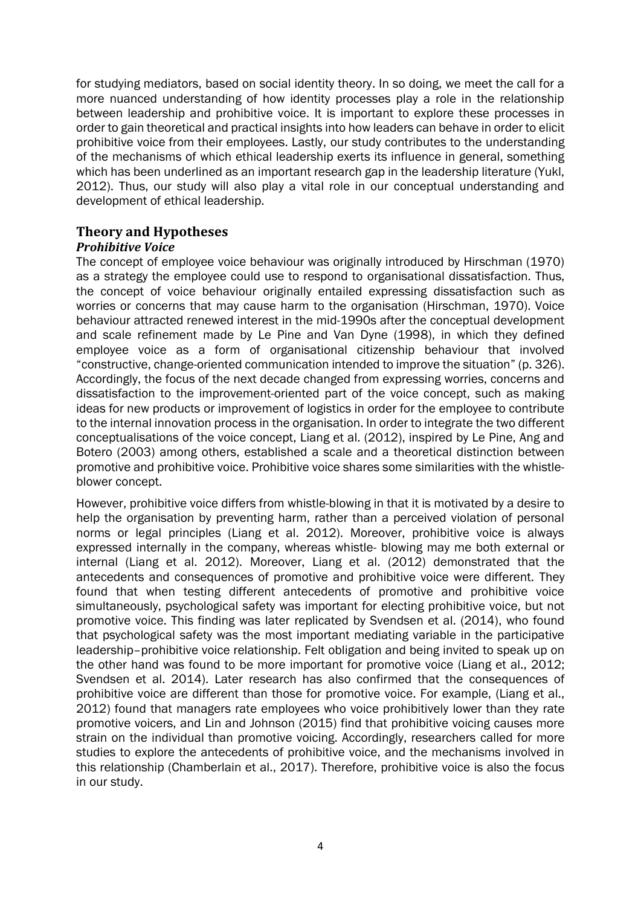for studying mediators, based on social identity theory. In so doing, we meet the call for a more nuanced understanding of how identity processes play a role in the relationship between leadership and prohibitive voice. It is important to explore these processes in order to gain theoretical and practical insights into how leaders can behave in order to elicit prohibitive voice from their employees. Lastly, our study contributes to the understanding of the mechanisms of which ethical leadership exerts its influence in general, something which has been underlined as an important research gap in the leadership literature (Yukl, 2012). Thus, our study will also play a vital role in our conceptual understanding and development of ethical leadership.

### **Theory and Hypotheses**

#### *Prohibitive Voice*

The concept of employee voice behaviour was originally introduced by Hirschman (1970) as a strategy the employee could use to respond to organisational dissatisfaction. Thus, the concept of voice behaviour originally entailed expressing dissatisfaction such as worries or concerns that may cause harm to the organisation (Hirschman, 1970). Voice behaviour attracted renewed interest in the mid-1990s after the conceptual development and scale refinement made by Le Pine and Van Dyne (1998), in which they defined employee voice as a form of organisational citizenship behaviour that involved "constructive, change-oriented communication intended to improve the situation" (p. 326). Accordingly, the focus of the next decade changed from expressing worries, concerns and dissatisfaction to the improvement-oriented part of the voice concept, such as making ideas for new products or improvement of logistics in order for the employee to contribute to the internal innovation process in the organisation. In order to integrate the two different conceptualisations of the voice concept, Liang et al. (2012), inspired by Le Pine, Ang and Botero (2003) among others, established a scale and a theoretical distinction between promotive and prohibitive voice. Prohibitive voice shares some similarities with the whistleblower concept.

However, prohibitive voice differs from whistle-blowing in that it is motivated by a desire to help the organisation by preventing harm, rather than a perceived violation of personal norms or legal principles (Liang et al. 2012). Moreover, prohibitive voice is always expressed internally in the company, whereas whistle- blowing may me both external or internal (Liang et al. 2012). Moreover, Liang et al. (2012) demonstrated that the antecedents and consequences of promotive and prohibitive voice were different. They found that when testing different antecedents of promotive and prohibitive voice simultaneously, psychological safety was important for electing prohibitive voice, but not promotive voice. This finding was later replicated by Svendsen et al. (2014), who found that psychological safety was the most important mediating variable in the participative leadership–prohibitive voice relationship. Felt obligation and being invited to speak up on the other hand was found to be more important for promotive voice (Liang et al., 2012; Svendsen et al. 2014). Later research has also confirmed that the consequences of prohibitive voice are different than those for promotive voice. For example, (Liang et al., 2012) found that managers rate employees who voice prohibitively lower than they rate promotive voicers, and Lin and Johnson (2015) find that prohibitive voicing causes more strain on the individual than promotive voicing. Accordingly, researchers called for more studies to explore the antecedents of prohibitive voice, and the mechanisms involved in this relationship (Chamberlain et al., 2017). Therefore, prohibitive voice is also the focus in our study.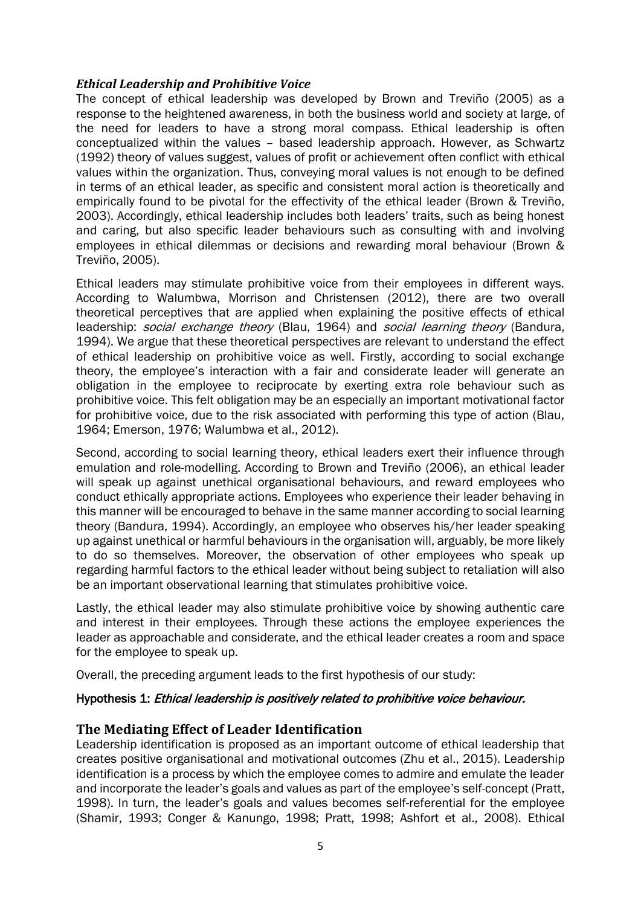#### *Ethical Leadership and Prohibitive Voice*

The concept of ethical leadership was developed by Brown and Treviño (2005) as a response to the heightened awareness, in both the business world and society at large, of the need for leaders to have a strong moral compass. Ethical leadership is often conceptualized within the values – based leadership approach. However, as Schwartz (1992) theory of values suggest, values of profit or achievement often conflict with ethical values within the organization. Thus, conveying moral values is not enough to be defined in terms of an ethical leader, as specific and consistent moral action is theoretically and empirically found to be pivotal for the effectivity of the ethical leader (Brown & Treviño, 2003). Accordingly, ethical leadership includes both leaders' traits, such as being honest and caring, but also specific leader behaviours such as consulting with and involving employees in ethical dilemmas or decisions and rewarding moral behaviour (Brown & Treviño, 2005).

Ethical leaders may stimulate prohibitive voice from their employees in different ways. According to Walumbwa, Morrison and Christensen (2012), there are two overall theoretical perceptives that are applied when explaining the positive effects of ethical leadership: *social exchange theory* (Blau, 1964) and *social learning theory* (Bandura, 1994). We argue that these theoretical perspectives are relevant to understand the effect of ethical leadership on prohibitive voice as well. Firstly, according to social exchange theory, the employee's interaction with a fair and considerate leader will generate an obligation in the employee to reciprocate by exerting extra role behaviour such as prohibitive voice. This felt obligation may be an especially an important motivational factor for prohibitive voice, due to the risk associated with performing this type of action (Blau, 1964; Emerson, 1976; Walumbwa et al., 2012).

Second, according to social learning theory, ethical leaders exert their influence through emulation and role-modelling. According to Brown and Treviño (2006), an ethical leader will speak up against unethical organisational behaviours, and reward employees who conduct ethically appropriate actions. Employees who experience their leader behaving in this manner will be encouraged to behave in the same manner according to social learning theory (Bandura, 1994). Accordingly, an employee who observes his/her leader speaking up against unethical or harmful behaviours in the organisation will, arguably, be more likely to do so themselves. Moreover, the observation of other employees who speak up regarding harmful factors to the ethical leader without being subject to retaliation will also be an important observational learning that stimulates prohibitive voice.

Lastly, the ethical leader may also stimulate prohibitive voice by showing authentic care and interest in their employees. Through these actions the employee experiences the leader as approachable and considerate, and the ethical leader creates a room and space for the employee to speak up.

Overall, the preceding argument leads to the first hypothesis of our study:

#### Hypothesis 1: Ethical leadership is positively related to prohibitive voice behaviour.

#### **The Mediating Effect of Leader Identification**

Leadership identification is proposed as an important outcome of ethical leadership that creates positive organisational and motivational outcomes (Zhu et al., 2015). Leadership identification is a process by which the employee comes to admire and emulate the leader and incorporate the leader's goals and values as part of the employee's self-concept (Pratt, 1998). In turn, the leader's goals and values becomes self-referential for the employee (Shamir, 1993; Conger & Kanungo, 1998; Pratt, 1998; Ashfort et al., 2008). Ethical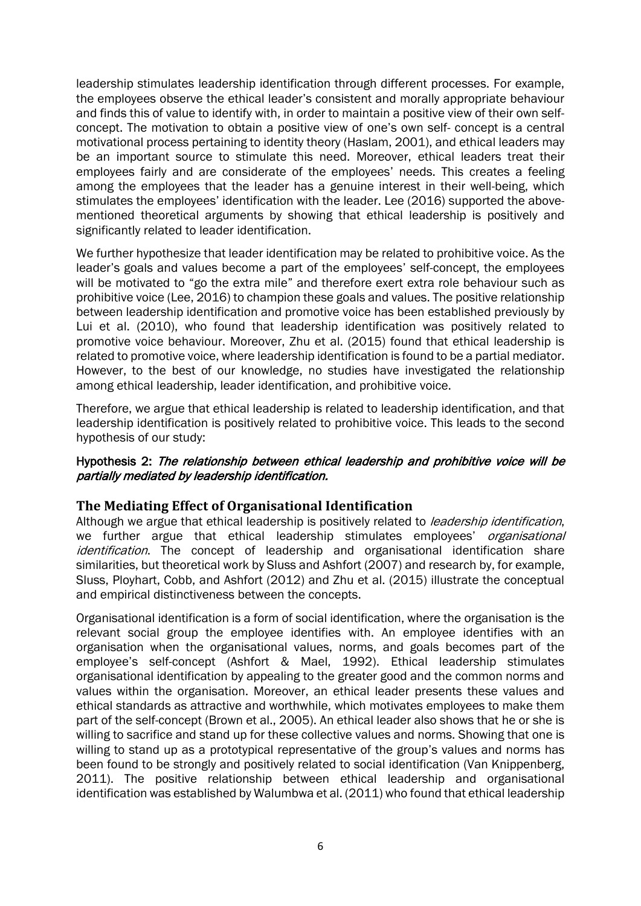leadership stimulates leadership identification through different processes. For example, the employees observe the ethical leader's consistent and morally appropriate behaviour and finds this of value to identify with, in order to maintain a positive view of their own selfconcept. The motivation to obtain a positive view of one's own self- concept is a central motivational process pertaining to identity theory (Haslam, 2001), and ethical leaders may be an important source to stimulate this need. Moreover, ethical leaders treat their employees fairly and are considerate of the employees' needs. This creates a feeling among the employees that the leader has a genuine interest in their well-being, which stimulates the employees' identification with the leader. Lee (2016) supported the abovementioned theoretical arguments by showing that ethical leadership is positively and significantly related to leader identification.

We further hypothesize that leader identification may be related to prohibitive voice. As the leader's goals and values become a part of the employees' self-concept, the employees will be motivated to "go the extra mile" and therefore exert extra role behaviour such as prohibitive voice (Lee, 2016) to champion these goals and values. The positive relationship between leadership identification and promotive voice has been established previously by Lui et al. (2010), who found that leadership identification was positively related to promotive voice behaviour. Moreover, Zhu et al. (2015) found that ethical leadership is related to promotive voice, where leadership identification is found to be a partial mediator. However, to the best of our knowledge, no studies have investigated the relationship among ethical leadership, leader identification, and prohibitive voice.

Therefore, we argue that ethical leadership is related to leadership identification, and that leadership identification is positively related to prohibitive voice. This leads to the second hypothesis of our study:

#### Hypothesis 2: The relationship between ethical leadership and prohibitive voice will be partially mediated by leadership identification.

#### **The Mediating Effect of Organisational Identification**

Although we argue that ethical leadership is positively related to *leadership identification*, we further argue that ethical leadership stimulates employees' *organisational* identification. The concept of leadership and organisational identification share similarities, but theoretical work by Sluss and Ashfort (2007) and research by, for example, Sluss, Ployhart, Cobb, and Ashfort (2012) and Zhu et al. (2015) illustrate the conceptual and empirical distinctiveness between the concepts.

Organisational identification is a form of social identification, where the organisation is the relevant social group the employee identifies with. An employee identifies with an organisation when the organisational values, norms, and goals becomes part of the employee's self-concept (Ashfort & Mael, 1992). Ethical leadership stimulates organisational identification by appealing to the greater good and the common norms and values within the organisation. Moreover, an ethical leader presents these values and ethical standards as attractive and worthwhile, which motivates employees to make them part of the self-concept (Brown et al., 2005). An ethical leader also shows that he or she is willing to sacrifice and stand up for these collective values and norms. Showing that one is willing to stand up as a prototypical representative of the group's values and norms has been found to be strongly and positively related to social identification (Van Knippenberg, 2011). The positive relationship between ethical leadership and organisational identification was established by Walumbwa et al. (2011) who found that ethical leadership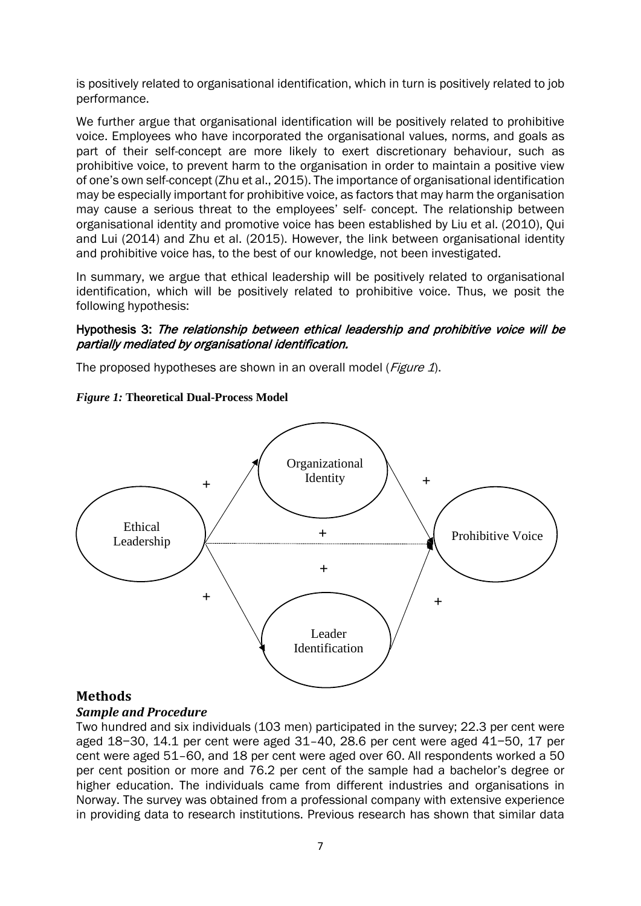is positively related to organisational identification, which in turn is positively related to job performance.

We further argue that organisational identification will be positively related to prohibitive voice. Employees who have incorporated the organisational values, norms, and goals as part of their self-concept are more likely to exert discretionary behaviour, such as prohibitive voice, to prevent harm to the organisation in order to maintain a positive view of one's own self-concept (Zhu et al., 2015). The importance of organisational identification may be especially important for prohibitive voice, as factors that may harm the organisation may cause a serious threat to the employees' self- concept. The relationship between organisational identity and promotive voice has been established by Liu et al. (2010), Qui and Lui (2014) and Zhu et al. (2015). However, the link between organisational identity and prohibitive voice has, to the best of our knowledge, not been investigated.

In summary, we argue that ethical leadership will be positively related to organisational identification, which will be positively related to prohibitive voice. Thus, we posit the following hypothesis:

#### Hypothesis 3: The relationship between ethical leadership and prohibitive voice will be partially mediated by organisational identification.

The proposed hypotheses are shown in an overall model (*Figure 1*).





#### **Methods**

#### *Sample and Procedure*

Two hundred and six individuals (103 men) participated in the survey; 22.3 per cent were aged 18−30, 14.1 per cent were aged 31–40, 28.6 per cent were aged 41−50, 17 per cent were aged 51–60, and 18 per cent were aged over 60. All respondents worked a 50 per cent position or more and 76.2 per cent of the sample had a bachelor's degree or higher education. The individuals came from different industries and organisations in Norway. The survey was obtained from a professional company with extensive experience in providing data to research institutions. Previous research has shown that similar data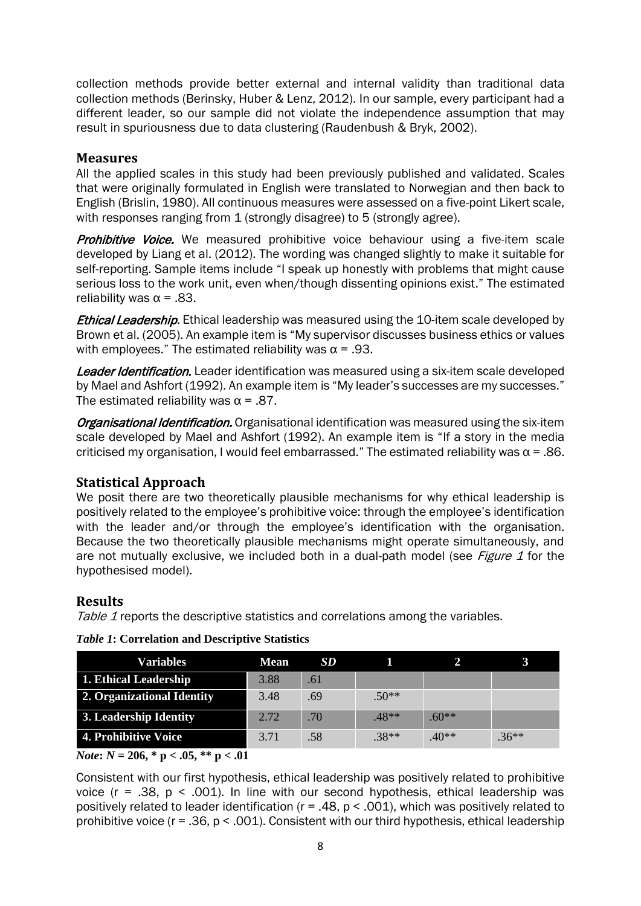collection methods provide better external and internal validity than traditional data collection methods (Berinsky, Huber & Lenz, 2012). In our sample, every participant had a different leader, so our sample did not violate the independence assumption that may result in spuriousness due to data clustering (Raudenbush & Bryk, 2002).

#### **Measures**

All the applied scales in this study had been previously published and validated. Scales that were originally formulated in English were translated to Norwegian and then back to English (Brislin, 1980). All continuous measures were assessed on a five-point Likert scale, with responses ranging from 1 (strongly disagree) to 5 (strongly agree).

**Prohibitive Voice.** We measured prohibitive voice behaviour using a five-item scale developed by Liang et al. (2012). The wording was changed slightly to make it suitable for self-reporting. Sample items include "I speak up honestly with problems that might cause serious loss to the work unit, even when/though dissenting opinions exist." The estimated reliability was  $\alpha$  = .83.

**Ethical Leadership.** Ethical leadership was measured using the 10-item scale developed by Brown et al. (2005). An example item is "My supervisor discusses business ethics or values with employees." The estimated reliability was  $\alpha$  = .93.

**Leader Identification.** Leader identification was measured using a six-item scale developed by Mael and Ashfort (1992). An example item is "My leader's successes are my successes." The estimated reliability was  $\alpha$  = .87.

Organisational Identification. Organisational identification was measured using the six-item scale developed by Mael and Ashfort (1992). An example item is "If a story in the media criticised my organisation, I would feel embarrassed." The estimated reliability was  $\alpha$  = .86.

## **Statistical Approach**

We posit there are two theoretically plausible mechanisms for why ethical leadership is positively related to the employee's prohibitive voice: through the employee's identification with the leader and/or through the employee's identification with the organisation. Because the two theoretically plausible mechanisms might operate simultaneously, and are not mutually exclusive, we included both in a dual-path model (see Figure 1 for the hypothesised model).

#### **Results**

Table 1 reports the descriptive statistics and correlations among the variables.

| <b>Variables</b>           | <b>Mean</b> | SD. |         |         |         |
|----------------------------|-------------|-----|---------|---------|---------|
| 1. Ethical Leadership      | 3.88        | .61 |         |         |         |
| 2. Organizational Identity | 3.48        | .69 | $.50**$ |         |         |
| 3. Leadership Identity     | 2.72        | .70 | $.48**$ | $.60**$ |         |
| 4. Prohibitive Voice       | 3.71        | .58 | $.38**$ | $40**$  | $.36**$ |

#### *Table 1***: Correlation and Descriptive Statistics**

*Note***:** *N* **= 206, \* p < .05, \*\* p < .01**

Consistent with our first hypothesis, ethical leadership was positively related to prohibitive voice ( $r = .38$ ,  $p < .001$ ). In line with our second hypothesis, ethical leadership was positively related to leader identification ( $r = .48$ ,  $p < .001$ ), which was positively related to prohibitive voice (r = .36, p < .001). Consistent with our third hypothesis, ethical leadership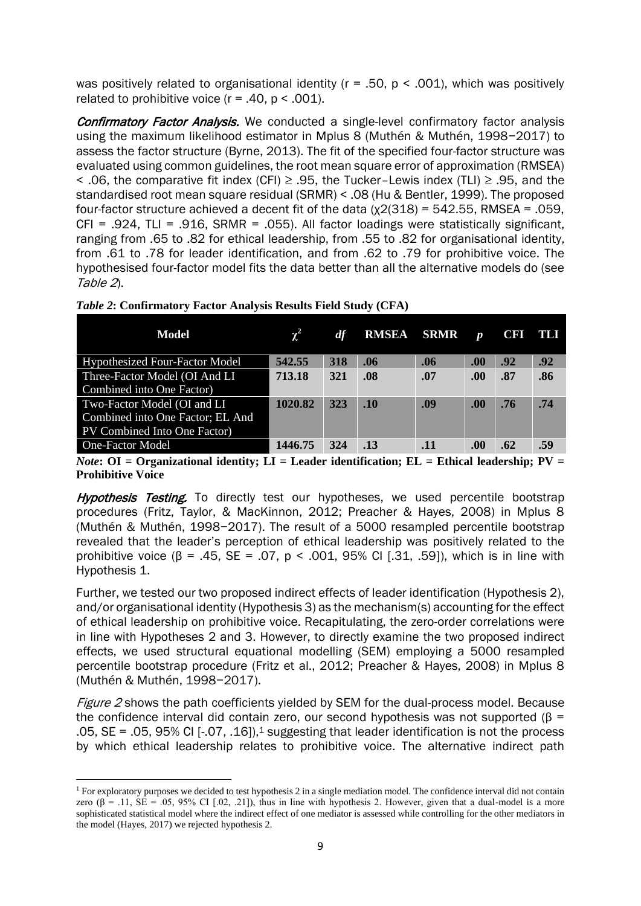was positively related to organisational identity ( $r = .50$ ,  $p < .001$ ), which was positively related to prohibitive voice  $(r = .40, p < .001)$ .

**Confirmatory Factor Analysis.** We conducted a single-level confirmatory factor analysis using the maximum likelihood estimator in Mplus 8 (Muthén & Muthén, 1998−2017) to assess the factor structure (Byrne, 2013). The fit of the specified four-factor structure was evaluated using common guidelines, the root mean square error of approximation (RMSEA) < .06, the comparative fit index (CFI)  $\geq$  .95, the Tucker–Lewis index (TLI)  $\geq$  .95, and the standardised root mean square residual (SRMR) < .08 (Hu & Bentler, 1999). The proposed four-factor structure achieved a decent fit of the data  $(\chi^2)(318) = 542.55$ , RMSEA = .059,  $CFI = .924$ , TLI = .916, SRMR = .055). All factor loadings were statistically significant, ranging from .65 to .82 for ethical leadership, from .55 to .82 for organisational identity, from .61 to .78 for leader identification, and from .62 to .79 for prohibitive voice. The hypothesised four-factor model fits the data better than all the alternative models do (see Table 2).

| Model                                 | $\chi^2$ | df  | <b>RMSEA</b> | SRMR | $\boldsymbol{p}$ | <b>CFI</b> | ты  |
|---------------------------------------|----------|-----|--------------|------|------------------|------------|-----|
| <b>Hypothesized Four-Factor Model</b> | 542.55   | 318 | .06          | .06  | .00.             | .92        | .92 |
| Three-Factor Model (OI And LI         | 713.18   | 321 | .08          | .07  | .00.             | .87        | .86 |
| Combined into One Factor)             |          |     |              |      |                  |            |     |
| Two-Factor Model (OI and LI           | 1020.82  | 323 | .10          | .09  | .00.             | .76        | .74 |
| Combined into One Factor; EL And      |          |     |              |      |                  |            |     |
| PV Combined Into One Factor)          |          |     |              |      |                  |            |     |
| <b>One-Factor Model</b>               | 1446.75  | 324 | .13          | .11  | .00.             | .62        | .59 |

*Table 2***: Confirmatory Factor Analysis Results Field Study (CFA)**

*Note***:** OI = Organizational identity; LI = Leader identification; EL = Ethical leadership; PV = **Prohibitive Voice**

**Hypothesis Testing.** To directly test our hypotheses, we used percentile bootstrap procedures (Fritz, Taylor, & MacKinnon, 2012; Preacher & Hayes, 2008) in Mplus 8 (Muthén & Muthén, 1998−2017). The result of a 5000 resampled percentile bootstrap revealed that the leader's perception of ethical leadership was positively related to the prohibitive voice ( $\beta$  = .45, SE = .07, p < .001, 95% CI [.31, .59]), which is in line with Hypothesis 1.

Further, we tested our two proposed indirect effects of leader identification (Hypothesis 2), and/or organisational identity (Hypothesis 3) as the mechanism(s) accounting for the effect of ethical leadership on prohibitive voice. Recapitulating, the zero-order correlations were in line with Hypotheses 2 and 3. However, to directly examine the two proposed indirect effects, we used structural equational modelling (SEM) employing a 5000 resampled percentile bootstrap procedure (Fritz et al., 2012; Preacher & Hayes, 2008) in Mplus 8 (Muthén & Muthén, 1998−2017).

Figure 2 shows the path coefficients yielded by SEM for the dual-process model. Because the confidence interval did contain zero, our second hypothesis was not supported (β =  $.05$ , SE =  $.05$ , 95% CI  $[-.07, .16]$ , suggesting that leader identification is not the process by which ethical leadership relates to prohibitive voice. The alternative indirect path

<sup>&</sup>lt;sup>1</sup> For exploratory purposes we decided to test hypothesis 2 in a single mediation model. The confidence interval did not contain zero ( $\beta$  = .11, SE = .05, 95% CI [.02, .21]), thus in line with hypothesis 2. However, given that a dual-model is a more sophisticated statistical model where the indirect effect of one mediator is assessed while controlling for the other mediators in the model (Hayes, 2017) we rejected hypothesis 2.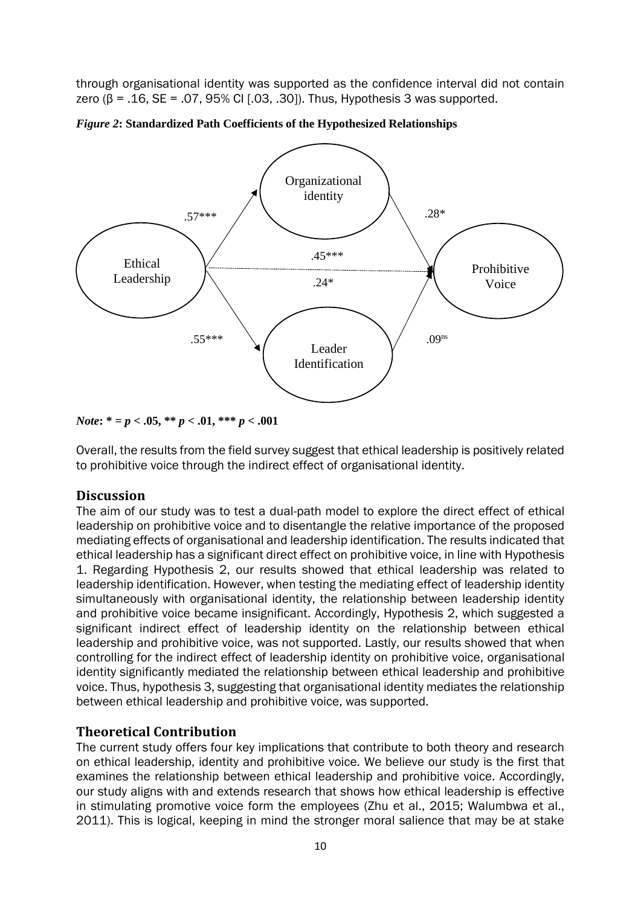through organisational identity was supported as the confidence interval did not contain zero (β = .16, SE = .07, 95% CI [.03, .30]). Thus, Hypothesis 3 was supported.





*Note***: \* =** *p* **< .05, \*\*** *p* **< .01, \*\*\*** *p* **< .001**

Overall, the results from the field survey suggest that ethical leadership is positively related to prohibitive voice through the indirect effect of organisational identity.

## **Discussion**

The aim of our study was to test a dual-path model to explore the direct effect of ethical leadership on prohibitive voice and to disentangle the relative importance of the proposed mediating effects of organisational and leadership identification. The results indicated that ethical leadership has a significant direct effect on prohibitive voice, in line with Hypothesis 1. Regarding Hypothesis 2, our results showed that ethical leadership was related to leadership identification. However, when testing the mediating effect of leadership identity simultaneously with organisational identity, the relationship between leadership identity and prohibitive voice became insignificant. Accordingly, Hypothesis 2, which suggested a significant indirect effect of leadership identity on the relationship between ethical leadership and prohibitive voice, was not supported. Lastly, our results showed that when controlling for the indirect effect of leadership identity on prohibitive voice, organisational identity significantly mediated the relationship between ethical leadership and prohibitive voice. Thus, hypothesis 3, suggesting that organisational identity mediates the relationship between ethical leadership and prohibitive voice, was supported.

## **Theoretical Contribution**

The current study offers four key implications that contribute to both theory and research on ethical leadership, identity and prohibitive voice. We believe our study is the first that examines the relationship between ethical leadership and prohibitive voice. Accordingly, our study aligns with and extends research that shows how ethical leadership is effective in stimulating promotive voice form the employees (Zhu et al., 2015; Walumbwa et al., 2011). This is logical, keeping in mind the stronger moral salience that may be at stake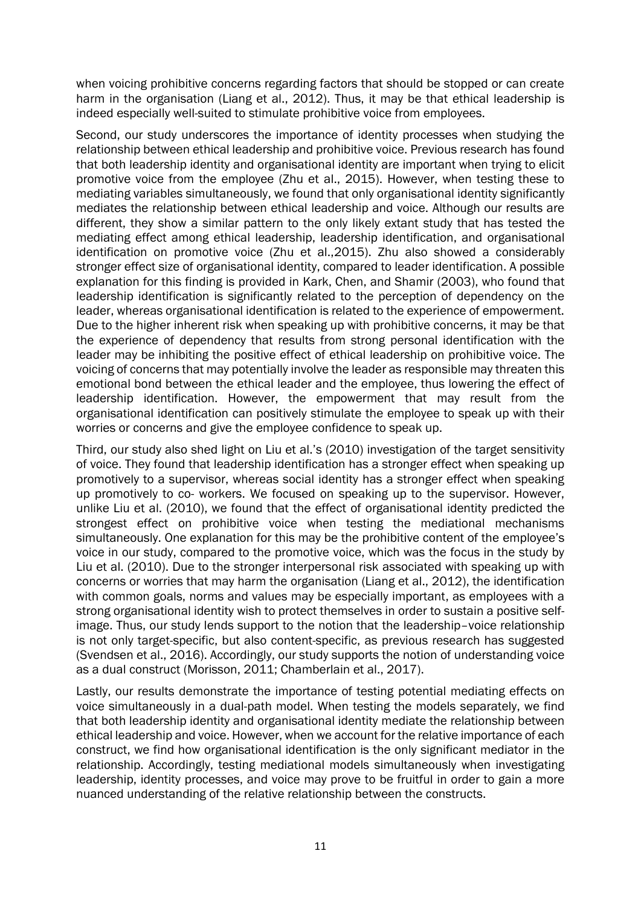when voicing prohibitive concerns regarding factors that should be stopped or can create harm in the organisation (Liang et al., 2012). Thus, it may be that ethical leadership is indeed especially well-suited to stimulate prohibitive voice from employees.

Second, our study underscores the importance of identity processes when studying the relationship between ethical leadership and prohibitive voice. Previous research has found that both leadership identity and organisational identity are important when trying to elicit promotive voice from the employee (Zhu et al., 2015). However, when testing these to mediating variables simultaneously, we found that only organisational identity significantly mediates the relationship between ethical leadership and voice. Although our results are different, they show a similar pattern to the only likely extant study that has tested the mediating effect among ethical leadership, leadership identification, and organisational identification on promotive voice (Zhu et al.,2015). Zhu also showed a considerably stronger effect size of organisational identity, compared to leader identification. A possible explanation for this finding is provided in Kark, Chen, and Shamir (2003), who found that leadership identification is significantly related to the perception of dependency on the leader, whereas organisational identification is related to the experience of empowerment. Due to the higher inherent risk when speaking up with prohibitive concerns, it may be that the experience of dependency that results from strong personal identification with the leader may be inhibiting the positive effect of ethical leadership on prohibitive voice. The voicing of concerns that may potentially involve the leader as responsible may threaten this emotional bond between the ethical leader and the employee, thus lowering the effect of leadership identification. However, the empowerment that may result from the organisational identification can positively stimulate the employee to speak up with their worries or concerns and give the employee confidence to speak up.

Third, our study also shed light on Liu et al.'s (2010) investigation of the target sensitivity of voice. They found that leadership identification has a stronger effect when speaking up promotively to a supervisor, whereas social identity has a stronger effect when speaking up promotively to co- workers. We focused on speaking up to the supervisor. However, unlike Liu et al. (2010), we found that the effect of organisational identity predicted the strongest effect on prohibitive voice when testing the mediational mechanisms simultaneously. One explanation for this may be the prohibitive content of the employee's voice in our study, compared to the promotive voice, which was the focus in the study by Liu et al. (2010). Due to the stronger interpersonal risk associated with speaking up with concerns or worries that may harm the organisation (Liang et al., 2012), the identification with common goals, norms and values may be especially important, as employees with a strong organisational identity wish to protect themselves in order to sustain a positive selfimage. Thus, our study lends support to the notion that the leadership–voice relationship is not only target-specific, but also content-specific, as previous research has suggested (Svendsen et al., 2016). Accordingly, our study supports the notion of understanding voice as a dual construct (Morisson, 2011; Chamberlain et al., 2017).

Lastly, our results demonstrate the importance of testing potential mediating effects on voice simultaneously in a dual-path model. When testing the models separately, we find that both leadership identity and organisational identity mediate the relationship between ethical leadership and voice. However, when we account for the relative importance of each construct, we find how organisational identification is the only significant mediator in the relationship. Accordingly, testing mediational models simultaneously when investigating leadership, identity processes, and voice may prove to be fruitful in order to gain a more nuanced understanding of the relative relationship between the constructs.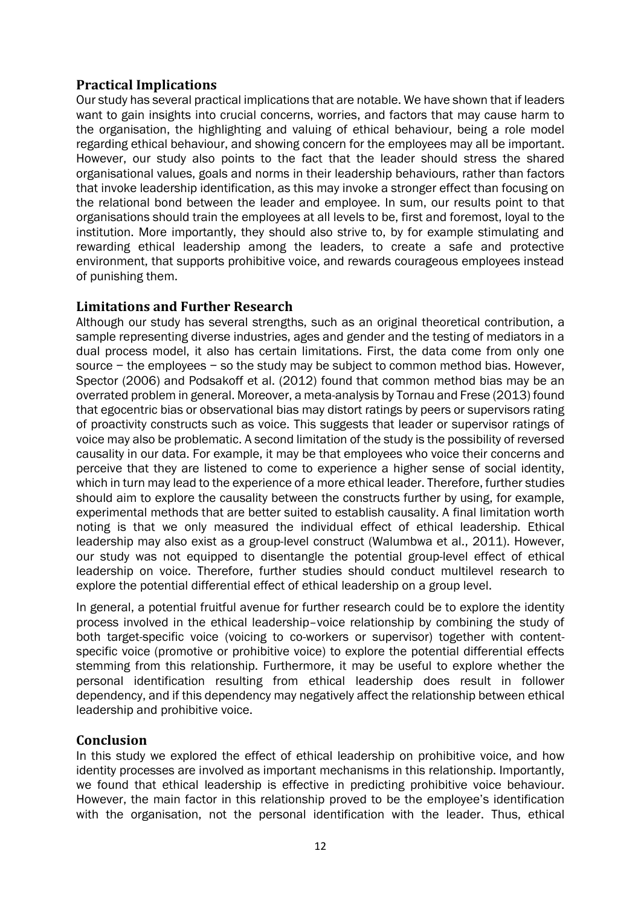## **Practical Implications**

Our study has several practical implications that are notable. We have shown that if leaders want to gain insights into crucial concerns, worries, and factors that may cause harm to the organisation, the highlighting and valuing of ethical behaviour, being a role model regarding ethical behaviour, and showing concern for the employees may all be important. However, our study also points to the fact that the leader should stress the shared organisational values, goals and norms in their leadership behaviours, rather than factors that invoke leadership identification, as this may invoke a stronger effect than focusing on the relational bond between the leader and employee. In sum, our results point to that organisations should train the employees at all levels to be, first and foremost, loyal to the institution. More importantly, they should also strive to, by for example stimulating and rewarding ethical leadership among the leaders, to create a safe and protective environment, that supports prohibitive voice, and rewards courageous employees instead of punishing them.

## **Limitations and Further Research**

Although our study has several strengths, such as an original theoretical contribution, a sample representing diverse industries, ages and gender and the testing of mediators in a dual process model, it also has certain limitations. First, the data come from only one source − the employees − so the study may be subject to common method bias. However, Spector (2006) and Podsakoff et al. (2012) found that common method bias may be an overrated problem in general. Moreover, a meta-analysis by Tornau and Frese (2013) found that egocentric bias or observational bias may distort ratings by peers or supervisors rating of proactivity constructs such as voice. This suggests that leader or supervisor ratings of voice may also be problematic. A second limitation of the study is the possibility of reversed causality in our data. For example, it may be that employees who voice their concerns and perceive that they are listened to come to experience a higher sense of social identity, which in turn may lead to the experience of a more ethical leader. Therefore, further studies should aim to explore the causality between the constructs further by using, for example, experimental methods that are better suited to establish causality. A final limitation worth noting is that we only measured the individual effect of ethical leadership. Ethical leadership may also exist as a group-level construct (Walumbwa et al., 2011). However, our study was not equipped to disentangle the potential group-level effect of ethical leadership on voice. Therefore, further studies should conduct multilevel research to explore the potential differential effect of ethical leadership on a group level.

In general, a potential fruitful avenue for further research could be to explore the identity process involved in the ethical leadership–voice relationship by combining the study of both target-specific voice (voicing to co-workers or supervisor) together with contentspecific voice (promotive or prohibitive voice) to explore the potential differential effects stemming from this relationship. Furthermore, it may be useful to explore whether the personal identification resulting from ethical leadership does result in follower dependency, and if this dependency may negatively affect the relationship between ethical leadership and prohibitive voice.

#### **Conclusion**

In this study we explored the effect of ethical leadership on prohibitive voice, and how identity processes are involved as important mechanisms in this relationship. Importantly, we found that ethical leadership is effective in predicting prohibitive voice behaviour. However, the main factor in this relationship proved to be the employee's identification with the organisation, not the personal identification with the leader. Thus, ethical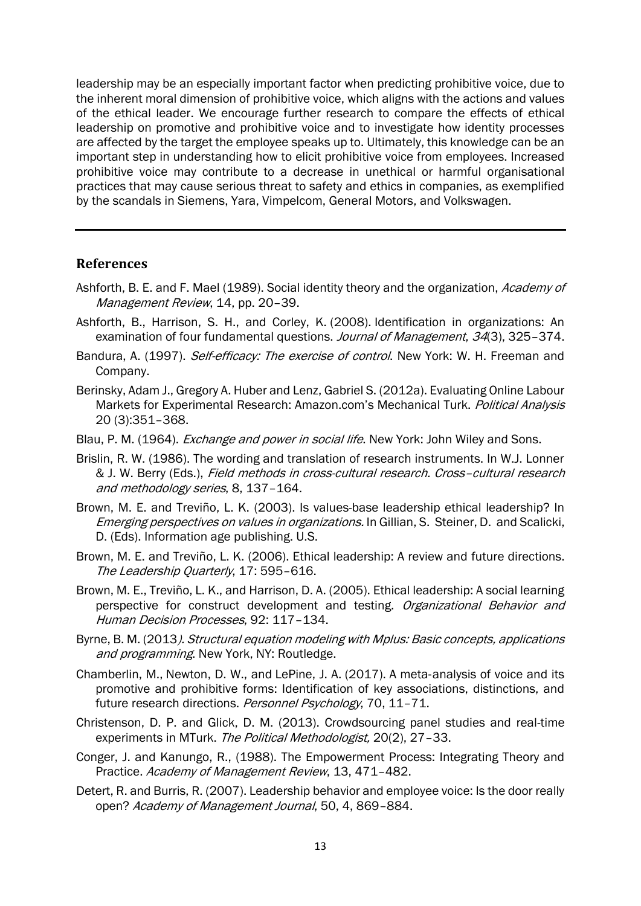leadership may be an especially important factor when predicting prohibitive voice, due to the inherent moral dimension of prohibitive voice, which aligns with the actions and values of the ethical leader. We encourage further research to compare the effects of ethical leadership on promotive and prohibitive voice and to investigate how identity processes are affected by the target the employee speaks up to. Ultimately, this knowledge can be an important step in understanding how to elicit prohibitive voice from employees. Increased prohibitive voice may contribute to a decrease in unethical or harmful organisational practices that may cause serious threat to safety and ethics in companies, as exemplified by the scandals in Siemens, Yara, Vimpelcom, General Motors, and Volkswagen.

#### **References**

- Ashforth, B. E. and F. Mael (1989). Social identity theory and the organization, Academy of Management Review, 14, pp. 20-39.
- Ashforth, B., Harrison, S. H., and Corley, K. (2008). Identification in organizations: An examination of four fundamental questions. Journal of Management, 34(3), 325-374.
- Bandura, A. (1997). Self-efficacy: The exercise of control. New York: W. H. Freeman and Company.
- Berinsky, Adam J., Gregory A. Huber and Lenz, Gabriel S. (2012a). Evaluating Online Labour Markets for Experimental Research: Amazon.com's Mechanical Turk. Political Analysis 20 (3):351–368.
- Blau, P. M. (1964). *Exchange and power in social life*. New York: John Wiley and Sons.
- Brislin, R. W. (1986). The wording and translation of research instruments. In W.J. Lonner & J. W. Berry (Eds.), Field methods in cross-cultural research. Cross–cultural research and methodology series, 8, 137–164.
- Brown, M. E. and Treviño, L. K. (2003). Is values-base leadership ethical leadership? In Emerging perspectives on values in organizations. In Gillian, S. Steiner, D. and Scalicki, D. (Eds). Information age publishing. U.S.
- Brown, M. E. and Treviño, L. K. (2006). Ethical leadership: A review and future directions. The Leadership Ouarterly, 17: 595-616.
- Brown, M. E., Treviño, L. K., and Harrison, D. A. (2005). Ethical leadership: A social learning perspective for construct development and testing. Organizational Behavior and Human Decision Processes, 92: 117–134.
- Byrne, B. M. (2013). Structural equation modeling with Mplus: Basic concepts, applications and programming. New York, NY: Routledge.
- Chamberlin, M., Newton, D. W., and LePine, J. A. (2017). A meta‐analysis of voice and its promotive and prohibitive forms: Identification of key associations, distinctions, and future research directions. Personnel Psychology, 70, 11–71.
- Christenson, D. P. and Glick, D. M. (2013). Crowdsourcing panel studies and real-time experiments in MTurk. The Political Methodologist, 20(2), 27-33.
- Conger, J. and Kanungo, R., (1988). The Empowerment Process: Integrating Theory and Practice. Academy of Management Review, 13, 471–482.
- Detert, R. and Burris, R. (2007). Leadership behavior and employee voice: Is the door really open? Academy of Management Journal, 50, 4, 869–884.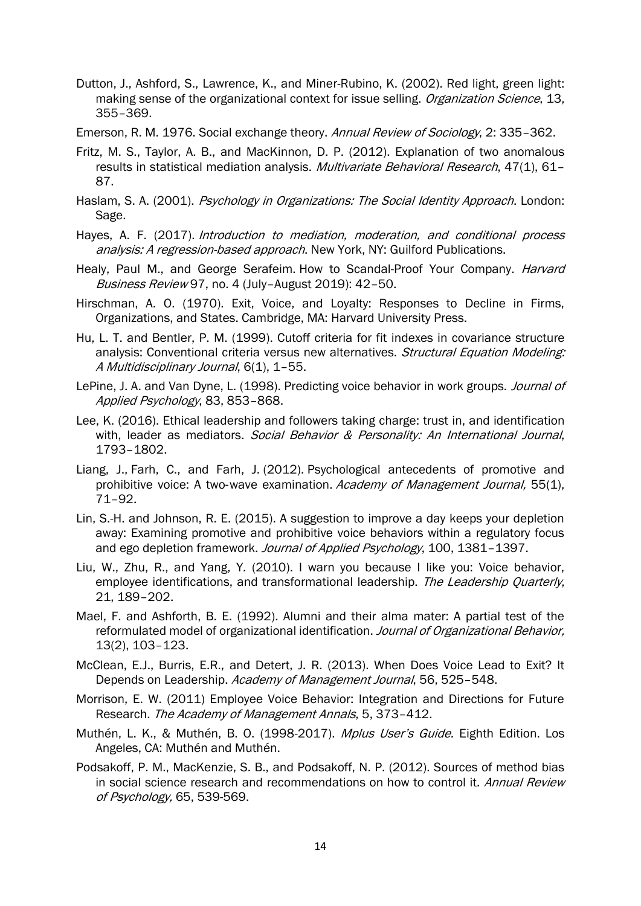- Dutton, J., Ashford, S., Lawrence, K., and Miner-Rubino, K. (2002). Red light, green light: making sense of the organizational context for issue selling. Organization Science, 13, 355–369.
- Emerson, R. M. 1976. Social exchange theory. Annual Review of Sociology, 2: 335-362.
- Fritz, M. S., Taylor, A. B., and MacKinnon, D. P. (2012). Explanation of two anomalous results in statistical mediation analysis. Multivariate Behavioral Research, 47(1), 61-87.
- Haslam, S. A. (2001). Psychology in Organizations: The Social Identity Approach. London: Sage.
- Hayes, A. F. (2017). Introduction to mediation, moderation, and conditional process analysis: A regression-based approach. New York, NY: Guilford Publications.
- Healy, Paul M., and George Serafeim. How to Scandal-Proof Your Company. *Harvard* Business Review 97, no. 4 (July–August 2019): 42–50.
- Hirschman, A. O. (1970). Exit, Voice, and Loyalty: Responses to Decline in Firms, Organizations, and States. Cambridge, MA: Harvard University Press.
- Hu, L. T. and Bentler, P. M. (1999). Cutoff criteria for fit indexes in covariance structure analysis: Conventional criteria versus new alternatives. Structural Equation Modeling: A Multidisciplinary Journal, 6(1), 1-55.
- LePine, J. A. and Van Dyne, L. (1998). Predicting voice behavior in work groups. *Journal of* Applied Psychology, 83, 853–868.
- Lee, K. (2016). Ethical leadership and followers taking charge: trust in, and identification with, leader as mediators. Social Behavior & Personality: An International Journal, 1793–1802.
- Liang, J., Farh, C., and Farh, J. (2012). Psychological antecedents of promotive and prohibitive voice: A two-wave examination. Academy of Management Journal, 55(1), 71–92.
- Lin, S.-H. and Johnson, R. E. (2015). A suggestion to improve a day keeps your depletion away: Examining promotive and prohibitive voice behaviors within a regulatory focus and ego depletion framework. Journal of Applied Psychology, 100, 1381-1397.
- Liu, W., Zhu, R., and Yang, Y. (2010). I warn you because I like you: Voice behavior, employee identifications, and transformational leadership. The Leadership Quarterly, 21, 189–202.
- Mael, F. and Ashforth, B. E. (1992). Alumni and their alma mater: A partial test of the reformulated model of organizational identification. Journal of Organizational Behavior. 13(2), 103–123.
- McClean, E.J., Burris, E.R., and Detert, J. R. (2013). When Does Voice Lead to Exit? It Depends on Leadership. Academy of Management Journal, 56, 525-548.
- Morrison, E. W. (2011) Employee Voice Behavior: Integration and Directions for Future Research. The Academy of Management Annals, 5, 373–412.
- Muthén, L. K., & Muthén, B. O. (1998-2017). Mplus User's Guide. Eighth Edition. Los Angeles, CA: Muthén and Muthén.
- Podsakoff, P. M., MacKenzie, S. B., and Podsakoff, N. P. (2012). Sources of method bias in social science research and recommendations on how to control it. Annual Review of Psychology, 65, 539-569.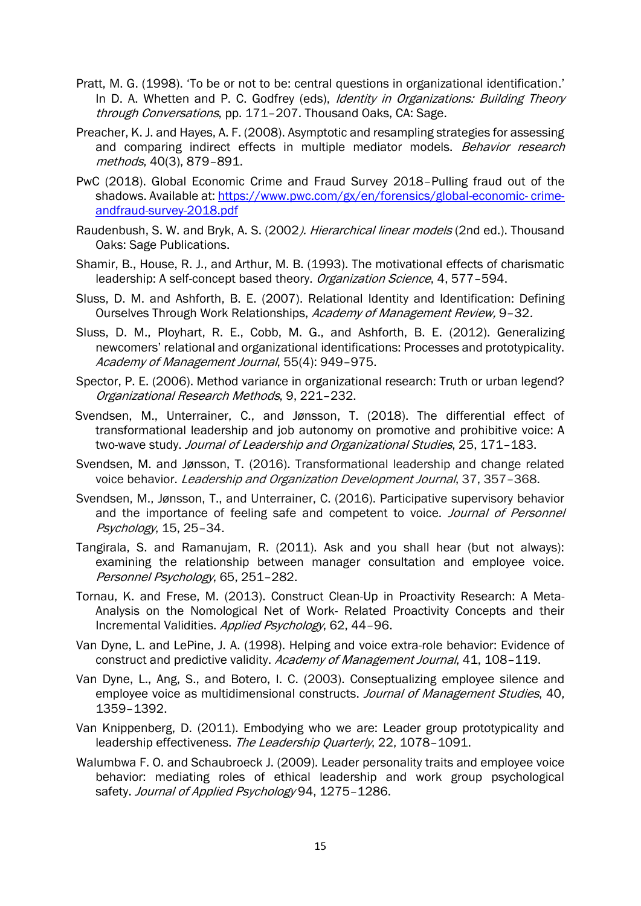- Pratt, M. G. (1998). 'To be or not to be: central questions in organizational identification.' In D. A. Whetten and P. C. Godfrey (eds), Identity in Organizations: Building Theory through Conversations, pp. 171-207. Thousand Oaks, CA: Sage.
- Preacher, K. J. and Hayes, A. F. (2008). Asymptotic and resampling strategies for assessing and comparing indirect effects in multiple mediator models. Behavior research methods, 40(3), 879–891.
- PwC (2018). Global Economic Crime and Fraud Survey 2018–Pulling fraud out of the shadows. Available at: [https://www.pwc.com/gx/en/forensics/global-economic-](https://www.pwc.com/gx/en/forensics/global-economic-%20crime-andfraud-survey-2018.pdf) crime[andfraud-survey-2018.pdf](https://www.pwc.com/gx/en/forensics/global-economic-%20crime-andfraud-survey-2018.pdf)
- Raudenbush, S. W. and Bryk, A. S. (2002). Hierarchical linear models (2nd ed.). Thousand Oaks: Sage Publications.
- Shamir, B., House, R. J., and Arthur, M. B. (1993). The motivational effects of charismatic leadership: A self-concept based theory. Organization Science, 4, 577-594.
- Sluss, D. M. and Ashforth, B. E. (2007). Relational Identity and Identification: Defining Ourselves Through Work Relationships, Academy of Management Review, 9-32.
- Sluss, D. M., Ployhart, R. E., Cobb, M. G., and Ashforth, B. E. (2012). Generalizing newcomers' relational and organizational identifications: Processes and prototypicality. Academy of Management Journal, 55(4): 949–975.
- Spector, P. E. (2006). Method variance in organizational research: Truth or urban legend? Organizational Research Methods, 9, 221–232.
- Svendsen, M., Unterrainer, C., and Jønsson, T. (2018). The differential effect of transformational leadership and job autonomy on promotive and prohibitive voice: A two-wave study. Journal of Leadership and Organizational Studies, 25, 171-183.
- Svendsen, M. and Jønsson, T. (2016). Transformational leadership and change related voice behavior. Leadership and Organization Development Journal, 37, 357-368.
- Svendsen, M., Jønsson, T., and Unterrainer, C. (2016). Participative supervisory behavior and the importance of feeling safe and competent to voice. *Journal of Personnel* Psychology, 15, 25–34.
- Tangirala, S. and Ramanujam, R. (2011). Ask and you shall hear (but not always): examining the relationship between manager consultation and employee voice. Personnel Psychology, 65, 251–282.
- Tornau, K. and Frese, M. (2013). Construct Clean-Up in Proactivity Research: A Meta-Analysis on the Nomological Net of Work- Related Proactivity Concepts and their Incremental Validities. Applied Psychology, 62, 44-96.
- Van Dyne, L. and LePine, J. A. (1998). Helping and voice extra-role behavior: Evidence of construct and predictive validity. Academy of Management Journal, 41, 108-119.
- Van Dyne, L., Ang, S., and Botero, I. C. (2003). Conseptualizing employee silence and employee voice as multidimensional constructs. Journal of Management Studies, 40, 1359–1392.
- Van Knippenberg, D. (2011). Embodying who we are: Leader group prototypicality and leadership effectiveness. The Leadership Quarterly, 22, 1078-1091.
- Walumbwa F. O. and Schaubroeck J. (2009). Leader personality traits and employee voice behavior: mediating roles of ethical leadership and work group psychological safety. Journal of Applied Psychology 94, 1275-1286.